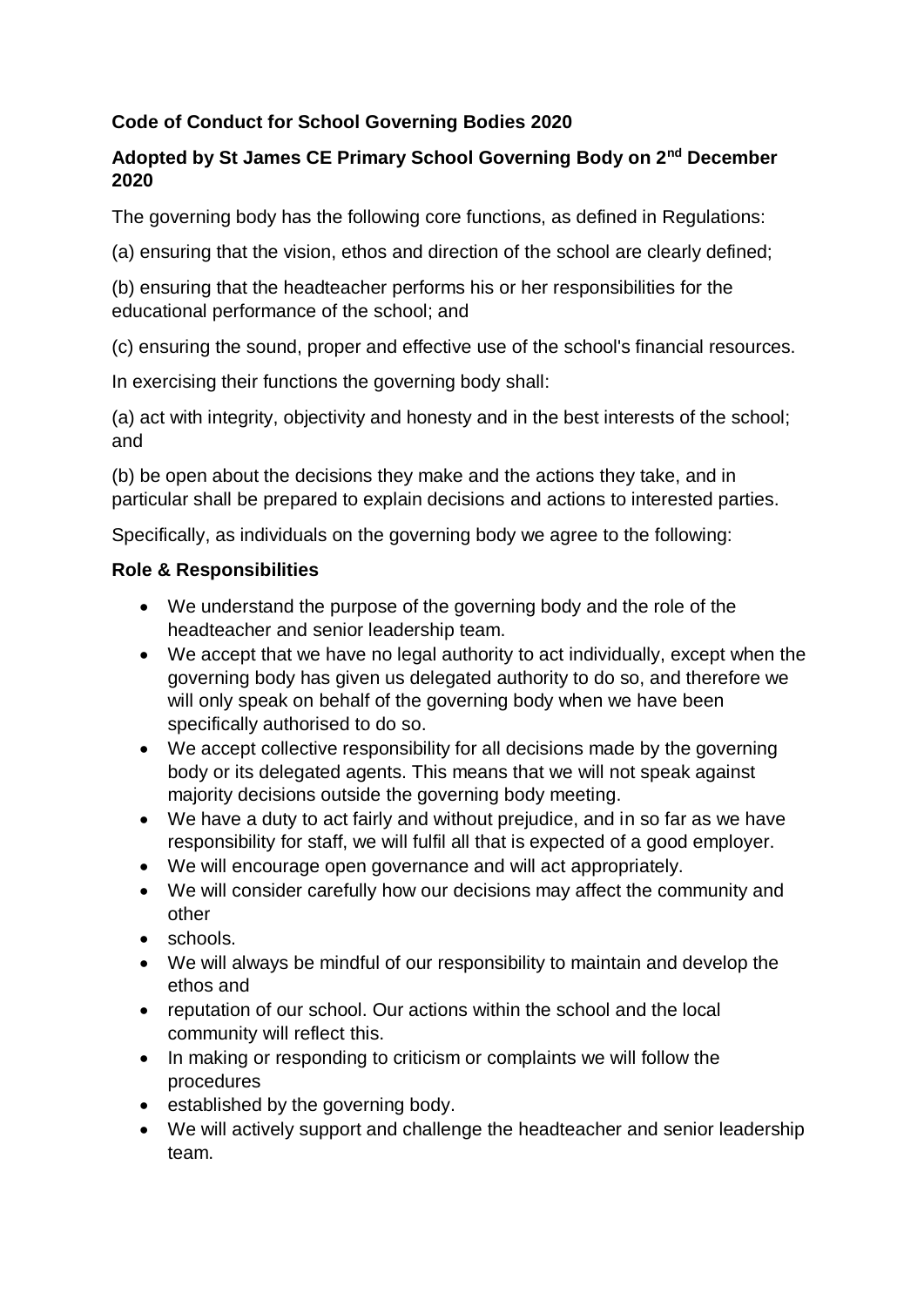### **Code of Conduct for School Governing Bodies 2020**

# **Adopted by St James CE Primary School Governing Body on 2nd December 2020**

The governing body has the following core functions, as defined in Regulations:

(a) ensuring that the vision, ethos and direction of the school are clearly defined;

(b) ensuring that the headteacher performs his or her responsibilities for the educational performance of the school; and

(c) ensuring the sound, proper and effective use of the school's financial resources.

In exercising their functions the governing body shall:

(a) act with integrity, objectivity and honesty and in the best interests of the school; and

(b) be open about the decisions they make and the actions they take, and in particular shall be prepared to explain decisions and actions to interested parties.

Specifically, as individuals on the governing body we agree to the following:

#### **Role & Responsibilities**

- We understand the purpose of the governing body and the role of the headteacher and senior leadership team.
- We accept that we have no legal authority to act individually, except when the governing body has given us delegated authority to do so, and therefore we will only speak on behalf of the governing body when we have been specifically authorised to do so.
- We accept collective responsibility for all decisions made by the governing body or its delegated agents. This means that we will not speak against majority decisions outside the governing body meeting.
- We have a duty to act fairly and without prejudice, and in so far as we have responsibility for staff, we will fulfil all that is expected of a good employer.
- We will encourage open governance and will act appropriately.
- We will consider carefully how our decisions may affect the community and other
- schools.
- We will always be mindful of our responsibility to maintain and develop the ethos and
- reputation of our school. Our actions within the school and the local community will reflect this.
- In making or responding to criticism or complaints we will follow the procedures
- established by the governing body.
- We will actively support and challenge the headteacher and senior leadership team.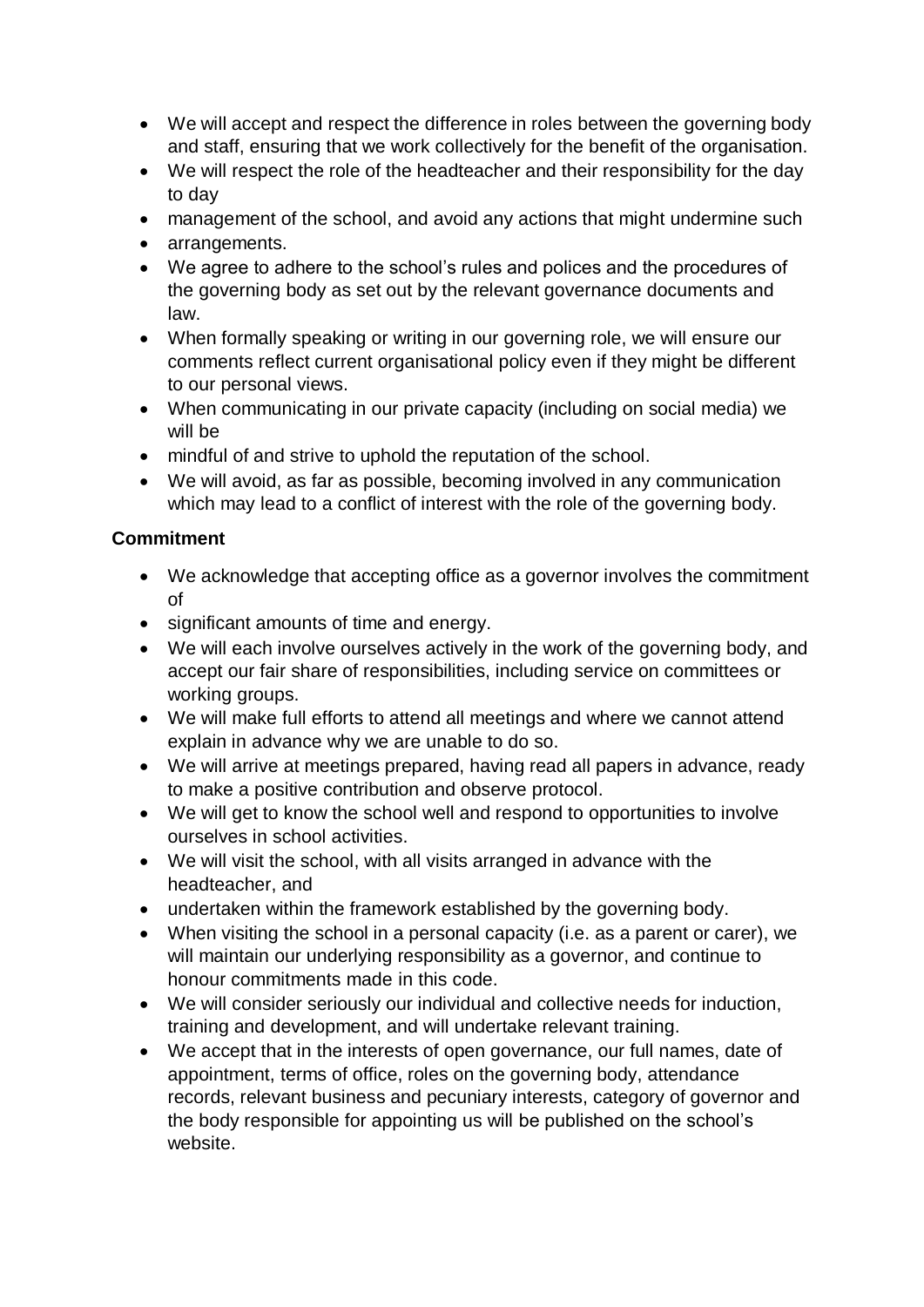- We will accept and respect the difference in roles between the governing body and staff, ensuring that we work collectively for the benefit of the organisation.
- We will respect the role of the headteacher and their responsibility for the day to day
- management of the school, and avoid any actions that might undermine such
- arrangements.
- We agree to adhere to the school's rules and polices and the procedures of the governing body as set out by the relevant governance documents and law.
- When formally speaking or writing in our governing role, we will ensure our comments reflect current organisational policy even if they might be different to our personal views.
- When communicating in our private capacity (including on social media) we will be
- mindful of and strive to uphold the reputation of the school.
- We will avoid, as far as possible, becoming involved in any communication which may lead to a conflict of interest with the role of the governing body.

### **Commitment**

- We acknowledge that accepting office as a governor involves the commitment of
- significant amounts of time and energy.
- We will each involve ourselves actively in the work of the governing body, and accept our fair share of responsibilities, including service on committees or working groups.
- We will make full efforts to attend all meetings and where we cannot attend explain in advance why we are unable to do so.
- We will arrive at meetings prepared, having read all papers in advance, ready to make a positive contribution and observe protocol.
- We will get to know the school well and respond to opportunities to involve ourselves in school activities.
- We will visit the school, with all visits arranged in advance with the headteacher, and
- undertaken within the framework established by the governing body.
- When visiting the school in a personal capacity (i.e. as a parent or carer), we will maintain our underlying responsibility as a governor, and continue to honour commitments made in this code.
- We will consider seriously our individual and collective needs for induction, training and development, and will undertake relevant training.
- We accept that in the interests of open governance, our full names, date of appointment, terms of office, roles on the governing body, attendance records, relevant business and pecuniary interests, category of governor and the body responsible for appointing us will be published on the school's website.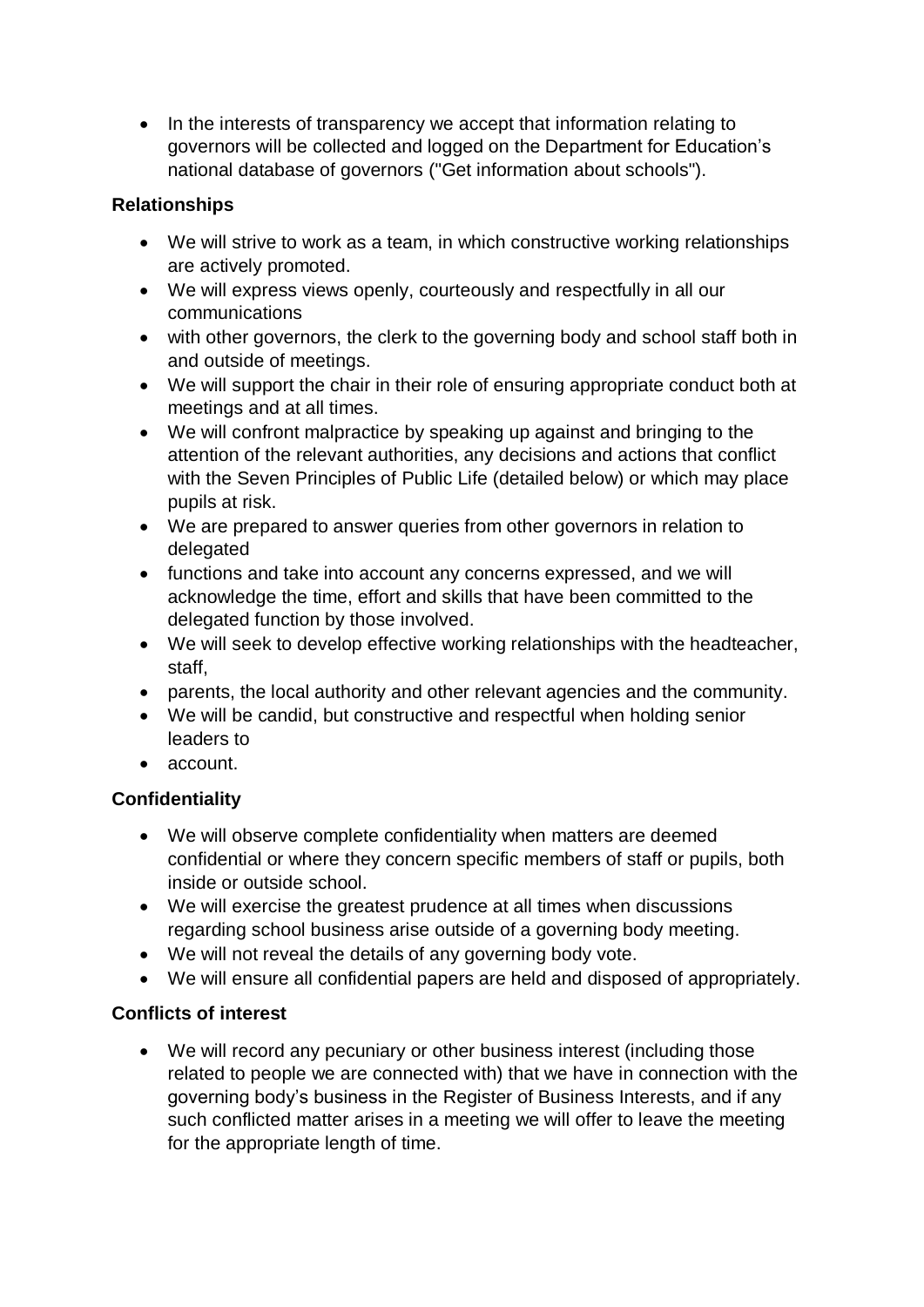• In the interests of transparency we accept that information relating to governors will be collected and logged on the Department for Education's national database of governors ("Get information about schools").

#### **Relationships**

- We will strive to work as a team, in which constructive working relationships are actively promoted.
- We will express views openly, courteously and respectfully in all our communications
- with other governors, the clerk to the governing body and school staff both in and outside of meetings.
- We will support the chair in their role of ensuring appropriate conduct both at meetings and at all times.
- We will confront malpractice by speaking up against and bringing to the attention of the relevant authorities, any decisions and actions that conflict with the Seven Principles of Public Life (detailed below) or which may place pupils at risk.
- We are prepared to answer queries from other governors in relation to delegated
- functions and take into account any concerns expressed, and we will acknowledge the time, effort and skills that have been committed to the delegated function by those involved.
- We will seek to develop effective working relationships with the headteacher, staff,
- parents, the local authority and other relevant agencies and the community.
- We will be candid, but constructive and respectful when holding senior leaders to
- account.

# **Confidentiality**

- We will observe complete confidentiality when matters are deemed confidential or where they concern specific members of staff or pupils, both inside or outside school.
- We will exercise the greatest prudence at all times when discussions regarding school business arise outside of a governing body meeting.
- We will not reveal the details of any governing body vote.
- We will ensure all confidential papers are held and disposed of appropriately.

# **Conflicts of interest**

 We will record any pecuniary or other business interest (including those related to people we are connected with) that we have in connection with the governing body's business in the Register of Business Interests, and if any such conflicted matter arises in a meeting we will offer to leave the meeting for the appropriate length of time.